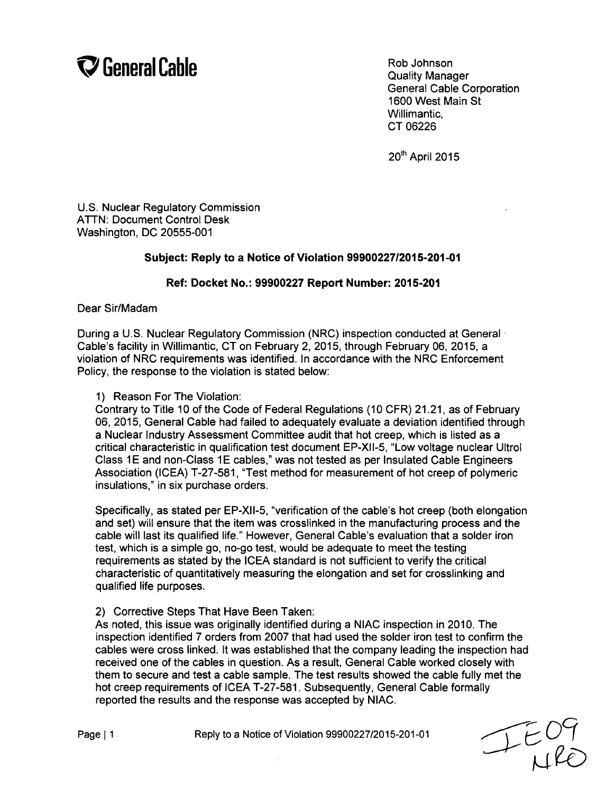## **V** General Cable Rob Johnson Rob Johnson

General Cable Corporation 1600 West Main St Willimantic, CT 06226

20<sup>th</sup> April 2015

U.S. Nuclear Regulatory Commission ATTN: Document Control Desk Washington, DC 20555-001

## Subject: Reply to a Notice of Violation **99900227/2015-201-01**

## Ref: Docket No.: **99900227** Report Number: **2015-201**

Dear Sir/Madam

During a U.S. Nuclear Regulatory Commission (NRC) inspection conducted at General. Cable's facility in Willimantic, CT on February 2, 2015, through February 06, 2015, a violation of NRC requirements was identified. In accordance with the NRC Enforcement Policy, the response to the violation is stated below:

1) Reason For The Violation:

Contrary to Title 10 of the Code of Federal Regulations (10 CFR) 21.21, as of February 06, 2015, General Cable had failed to adequately evaluate a deviation identified through a Nuclear Industry Assessment Committee audit that hot creep, which is listed as a critical characteristic in qualification test document EP-XII-5, "Low voltage nuclear Ultrol Class 1E and non-Class 1E cables," was not tested as per Insulated Cable Engineers Association (ICEA) T-27-581, "Test method for measurement of hot creep of polymeric insulations," in six purchase orders.

Specifically, as stated per EP-XII-5, "verification of the cable's hot creep (both elongation and set) will ensure that the item was crosslinked in the manufacturing process and the cable will last its qualified life." However, General Cable's evaluation that a solder iron test, which is a simple go, no-go test, would be adequate to meet the testing requirements as stated by the ICEA standard is not sufficient to verify the critical characteristic of quantitatively measuring the elongation and set for crosslinking and qualified life purposes.

## 2) Corrective Steps That Have Been Taken:

As noted, this issue was originally identified during a NIAC inspection in 2010. The inspection identified 7 orders from 2007 that had used the solder iron test to confirm the cables were cross linked. It was established that the company leading the inspection had received one of the cables in question. As a result, General Cable worked closely with them to secure and test a cable sample. The test results showed the cable fully met the hot creep requirements of ICEA T-27-581. Subsequently, General Cable formally reported the results and the response was accepted by NIAC.

Page **11** Reply to a Notice of Violation 99900227/2015-201-01

IEOY<br>HRE